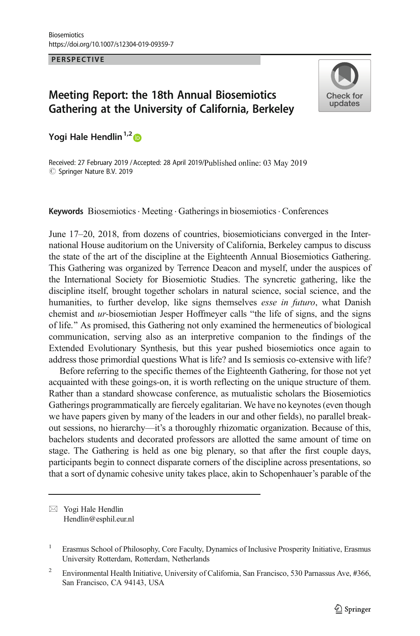PERSPECTIVE

## Meeting Report: the 18th Annual Biosemiotics Gathering at the University of California, Berkeley



Yogi Hale Hendlin<sup>1,2</sup>

Received: 27 February 2019 / Accepted: 28 April 2019/Published online: 03 May 2019  $\circledcirc$  Springer Nature B.V. 2019

Keywords Biosemiotics · Meeting · Gatherings in biosemiotics · Conferences

June 17–20, 2018, from dozens of countries, biosemioticians converged in the International House auditorium on the University of California, Berkeley campus to discuss the state of the art of the discipline at the Eighteenth Annual Biosemiotics Gathering. This Gathering was organized by Terrence Deacon and myself, under the auspices of the International Society for Biosemiotic Studies. The syncretic gathering, like the discipline itself, brought together scholars in natural science, social science, and the humanities, to further develop, like signs themselves *esse in futuro*, what Danish chemist and  $ur$ -biosemiotian Jesper Hoffmeyer calls "the life of signs, and the signs of life.^ As promised, this Gathering not only examined the hermeneutics of biological communication, serving also as an interpretive companion to the findings of the Extended Evolutionary Synthesis, but this year pushed biosemiotics once again to address those primordial questions What is life? and Is semiosis co-extensive with life?

Before referring to the specific themes of the Eighteenth Gathering, for those not yet acquainted with these goings-on, it is worth reflecting on the unique structure of them. Rather than a standard showcase conference, as mutualistic scholars the Biosemiotics Gatherings programmatically are fiercely egalitarian. We have no keynotes (even though we have papers given by many of the leaders in our and other fields), no parallel breakout sessions, no hierarchy—it's a thoroughly rhizomatic organization. Because of this, bachelors students and decorated professors are allotted the same amount of time on stage. The Gathering is held as one big plenary, so that after the first couple days, participants begin to connect disparate corners of the discipline across presentations, so that a sort of dynamic cohesive unity takes place, akin to Schopenhauer's parable of the

 $\boxtimes$  Yogi Hale Hendlin [Hendlin@esphil.eur.nl](mailto:Hendlin@esphil.eur.nl)

<sup>&</sup>lt;sup>1</sup> Erasmus School of Philosophy, Core Faculty, Dynamics of Inclusive Prosperity Initiative, Erasmus University Rotterdam, Rotterdam, Netherlands

<sup>&</sup>lt;sup>2</sup> Environmental Health Initiative, University of California, San Francisco, 530 Parnassus Ave, #366, San Francisco, CA 94143, USA